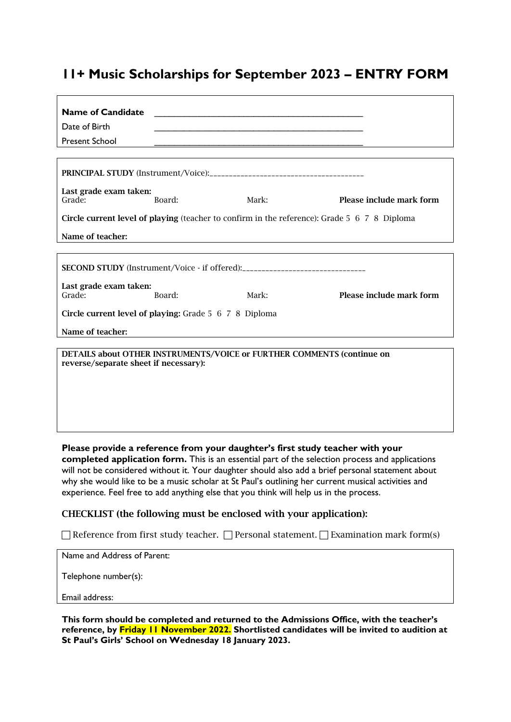# **11+ Music Scholarships for September 2023 – ENTRY FORM**

| <b>Name of Candidate</b>                                                                                        |        |       |                          |
|-----------------------------------------------------------------------------------------------------------------|--------|-------|--------------------------|
| Date of Birth                                                                                                   |        |       |                          |
| <b>Present School</b>                                                                                           |        |       |                          |
|                                                                                                                 |        |       |                          |
|                                                                                                                 |        |       |                          |
| Last grade exam taken:<br>Grade:                                                                                | Board: | Mark: | Please include mark form |
| Circle current level of playing (teacher to confirm in the reference): Grade 5 6 7 8 Diploma                    |        |       |                          |
| Name of teacher:                                                                                                |        |       |                          |
|                                                                                                                 |        |       |                          |
| <b>SECOND STUDY</b> (Instrument/Voice - if offered):__________________________________                          |        |       |                          |
| Last grade exam taken:<br>Grade:                                                                                | Board: | Mark: | Please include mark form |
| Circle current level of playing: Grade 5 6 7 8 Diploma                                                          |        |       |                          |
| Name of teacher:                                                                                                |        |       |                          |
| DETAILS about OTHER INSTRUMENTS/VOICE or FURTHER COMMENTS (continue on<br>reverse/separate sheet if necessary): |        |       |                          |

**Please provide a reference from your daughter's first study teacher with your completed application form.** This is an essential part of the selection process and applications will not be considered without it. Your daughter should also add a brief personal statement about why she would like to be a music scholar at St Paul's outlining her current musical activities and experience. Feel free to add anything else that you think will help us in the process.

### CHECKLIST (the following must be enclosed with your application):

 $\Box$  Reference from first study teacher.  $\Box$  Personal statement.  $\Box$  Examination mark form(s)

Name and Address of Parent:

Telephone number(s):

Email address:

**This form should be completed and returned to the Admissions Office, with the teacher's reference, by Friday 11 November 2022. Shortlisted candidates will be invited to audition at St Paul's Girls' School on Wednesday 18 January 2023.**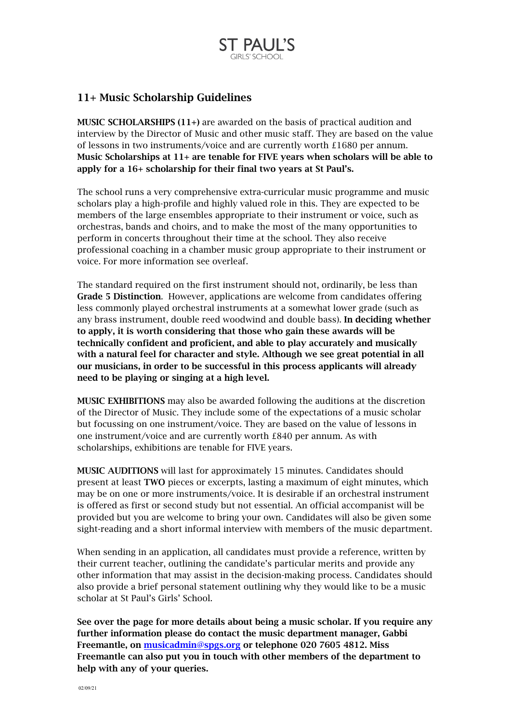

### 11+ Music Scholarship Guidelines

MUSIC SCHOLARSHIPS (11+) are awarded on the basis of practical audition and interview by the Director of Music and other music staff. They are based on the value of lessons in two instruments/voice and are currently worth £1680 per annum. Music Scholarships at 11+ are tenable for FIVE years when scholars will be able to apply for a 16+ scholarship for their final two years at St Paul's.

The school runs a very comprehensive extra-curricular music programme and music scholars play a high-profile and highly valued role in this. They are expected to be members of the large ensembles appropriate to their instrument or voice, such as orchestras, bands and choirs, and to make the most of the many opportunities to perform in concerts throughout their time at the school. They also receive professional coaching in a chamber music group appropriate to their instrument or voice. For more information see overleaf.

The standard required on the first instrument should not, ordinarily, be less than Grade 5 Distinction. However, applications are welcome from candidates offering less commonly played orchestral instruments at a somewhat lower grade (such as any brass instrument, double reed woodwind and double bass). In deciding whether to apply, it is worth considering that those who gain these awards will be technically confident and proficient, and able to play accurately and musically with a natural feel for character and style. Although we see great potential in all our musicians, in order to be successful in this process applicants will already need to be playing or singing at a high level.

MUSIC EXHIBITIONS may also be awarded following the auditions at the discretion of the Director of Music. They include some of the expectations of a music scholar but focussing on one instrument/voice. They are based on the value of lessons in one instrument/voice and are currently worth £840 per annum. As with scholarships, exhibitions are tenable for FIVE years.

MUSIC AUDITIONS will last for approximately 15 minutes. Candidates should present at least TWO pieces or excerpts, lasting a maximum of eight minutes, which may be on one or more instruments/voice. It is desirable if an orchestral instrument is offered as first or second study but not essential. An official accompanist will be provided but you are welcome to bring your own. Candidates will also be given some sight-reading and a short informal interview with members of the music department.

When sending in an application, all candidates must provide a reference, written by their current teacher, outlining the candidate's particular merits and provide any other information that may assist in the decision-making process. Candidates should also provide a brief personal statement outlining why they would like to be a music scholar at St Paul's Girls' School.

See over the page for more details about being a music scholar. If you require any further information please do contact the music department manager, Gabbi Freemantle, on [musicadmin@spgs.org](mailto:musicadmin@spgs.org) or telephone 020 7605 4812. Miss Freemantle can also put you in touch with other members of the department to help with any of your queries.